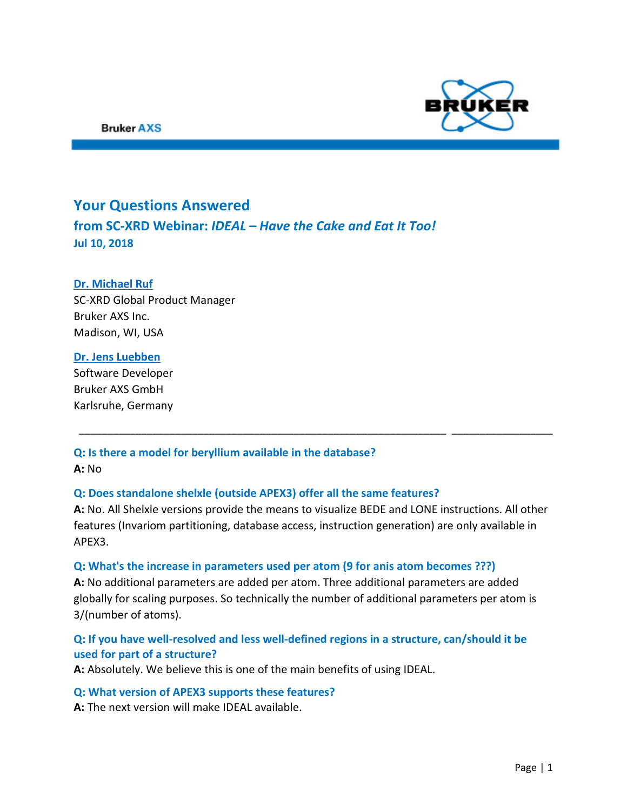

## **Your Questions Answered**

**from SC-XRD Webinar:** *IDEAL – Have the Cake and Eat It Too!* **Jul 10, 2018**

## **[Dr. Michael Ruf](mailto:michael.ruf@bruker.com)**

SC-XRD Global Product Manager Bruker AXS Inc. Madison, WI, USA

#### **[Dr. Jens Luebben](mailto:jens.luebben@bruker.com)**

Software Developer Bruker AXS GmbH Karlsruhe, Germany

# **Q: Is there a model for beryllium available in the database?**

**A:** No

## **Q: Does standalone shelxle (outside APEX3) offer all the same features?**

**A:** No. All Shelxle versions provide the means to visualize BEDE and LONE instructions. All other features (Invariom partitioning, database access, instruction generation) are only available in APEX3.

\_\_\_\_\_\_\_\_\_\_\_\_\_\_\_\_\_\_\_\_\_\_\_\_\_\_\_\_\_\_\_\_\_\_\_\_\_\_\_\_\_\_\_\_\_\_\_\_\_\_\_\_\_\_\_\_\_\_\_\_\_\_\_\_\_ \_\_\_\_\_\_\_\_\_\_\_\_\_\_\_\_\_\_

#### **Q: What's the increase in parameters used per atom (9 for anis atom becomes ???)**

**A:** No additional parameters are added per atom. Three additional parameters are added globally for scaling purposes. So technically the number of additional parameters per atom is 3/(number of atoms).

## **Q: If you have well-resolved and less well-defined regions in a structure, can/should it be used for part of a structure?**

**A:** Absolutely. We believe this is one of the main benefits of using IDEAL.

#### **Q: What version of APEX3 supports these features?**

**A:** The next version will make IDEAL available.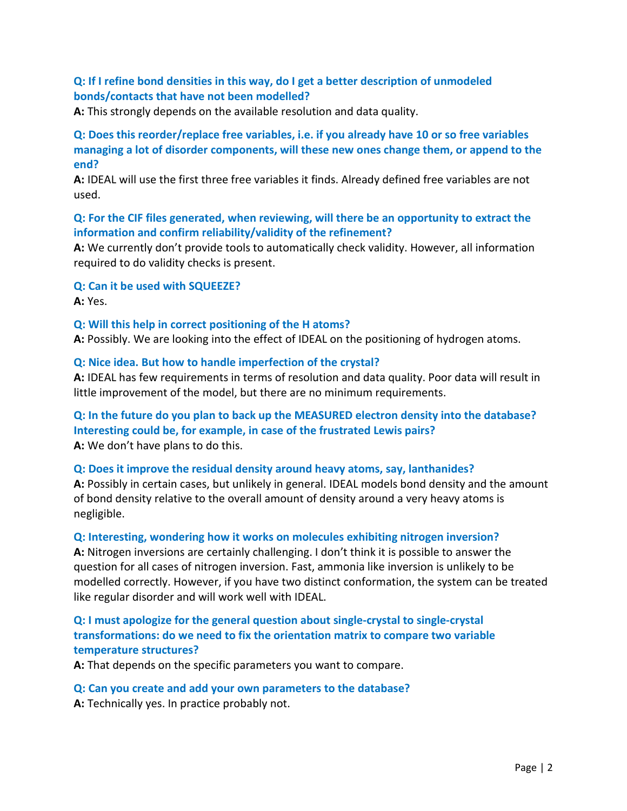## **Q: If I refine bond densities in this way, do I get a better description of unmodeled bonds/contacts that have not been modelled?**

**A:** This strongly depends on the available resolution and data quality.

## **Q: Does this reorder/replace free variables, i.e. if you already have 10 or so free variables managing a lot of disorder components, will these new ones change them, or append to the end?**

**A:** IDEAL will use the first three free variables it finds. Already defined free variables are not used.

## **Q: For the CIF files generated, when reviewing, will there be an opportunity to extract the information and confirm reliability/validity of the refinement?**

**A:** We currently don't provide tools to automatically check validity. However, all information required to do validity checks is present.

#### **Q: Can it be used with SQUEEZE?**

**A:** Yes.

#### **Q: Will this help in correct positioning of the H atoms?**

**A:** Possibly. We are looking into the effect of IDEAL on the positioning of hydrogen atoms.

#### **Q: Nice idea. But how to handle imperfection of the crystal?**

**A:** IDEAL has few requirements in terms of resolution and data quality. Poor data will result in little improvement of the model, but there are no minimum requirements.

## **Q: In the future do you plan to back up the MEASURED electron density into the database? Interesting could be, for example, in case of the frustrated Lewis pairs? A:** We don't have plans to do this.

#### **Q: Does it improve the residual density around heavy atoms, say, lanthanides?**

**A:** Possibly in certain cases, but unlikely in general. IDEAL models bond density and the amount of bond density relative to the overall amount of density around a very heavy atoms is negligible.

#### **Q: Interesting, wondering how it works on molecules exhibiting nitrogen inversion?**

**A:** Nitrogen inversions are certainly challenging. I don't think it is possible to answer the question for all cases of nitrogen inversion. Fast, ammonia like inversion is unlikely to be modelled correctly. However, if you have two distinct conformation, the system can be treated like regular disorder and will work well with IDEAL.

## **Q: I must apologize for the general question about single-crystal to single-crystal transformations: do we need to fix the orientation matrix to compare two variable temperature structures?**

**A:** That depends on the specific parameters you want to compare.

#### **Q: Can you create and add your own parameters to the database?**

**A:** Technically yes. In practice probably not.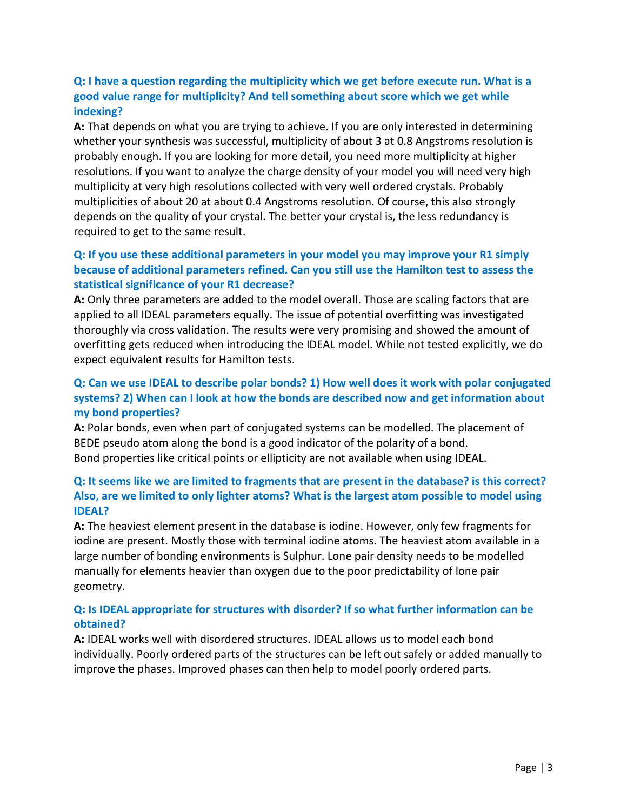## **Q: I have a question regarding the multiplicity which we get before execute run. What is a good value range for multiplicity? And tell something about score which we get while indexing?**

**A:** That depends on what you are trying to achieve. If you are only interested in determining whether your synthesis was successful, multiplicity of about 3 at 0.8 Angstroms resolution is probably enough. If you are looking for more detail, you need more multiplicity at higher resolutions. If you want to analyze the charge density of your model you will need very high multiplicity at very high resolutions collected with very well ordered crystals. Probably multiplicities of about 20 at about 0.4 Angstroms resolution. Of course, this also strongly depends on the quality of your crystal. The better your crystal is, the less redundancy is required to get to the same result.

## **Q: If you use these additional parameters in your model you may improve your R1 simply because of additional parameters refined. Can you still use the Hamilton test to assess the statistical significance of your R1 decrease?**

**A:** Only three parameters are added to the model overall. Those are scaling factors that are applied to all IDEAL parameters equally. The issue of potential overfitting was investigated thoroughly via cross validation. The results were very promising and showed the amount of overfitting gets reduced when introducing the IDEAL model. While not tested explicitly, we do expect equivalent results for Hamilton tests.

## **Q: Can we use IDEAL to describe polar bonds? 1) How well does it work with polar conjugated systems? 2) When can I look at how the bonds are described now and get information about my bond properties?**

**A:** Polar bonds, even when part of conjugated systems can be modelled. The placement of BEDE pseudo atom along the bond is a good indicator of the polarity of a bond. Bond properties like critical points or ellipticity are not available when using IDEAL.

## **Q: It seems like we are limited to fragments that are present in the database? is this correct? Also, are we limited to only lighter atoms? What is the largest atom possible to model using IDEAL?**

**A:** The heaviest element present in the database is iodine. However, only few fragments for iodine are present. Mostly those with terminal iodine atoms. The heaviest atom available in a large number of bonding environments is Sulphur. Lone pair density needs to be modelled manually for elements heavier than oxygen due to the poor predictability of lone pair geometry.

## **Q: Is IDEAL appropriate for structures with disorder? If so what further information can be obtained?**

**A:** IDEAL works well with disordered structures. IDEAL allows us to model each bond individually. Poorly ordered parts of the structures can be left out safely or added manually to improve the phases. Improved phases can then help to model poorly ordered parts.